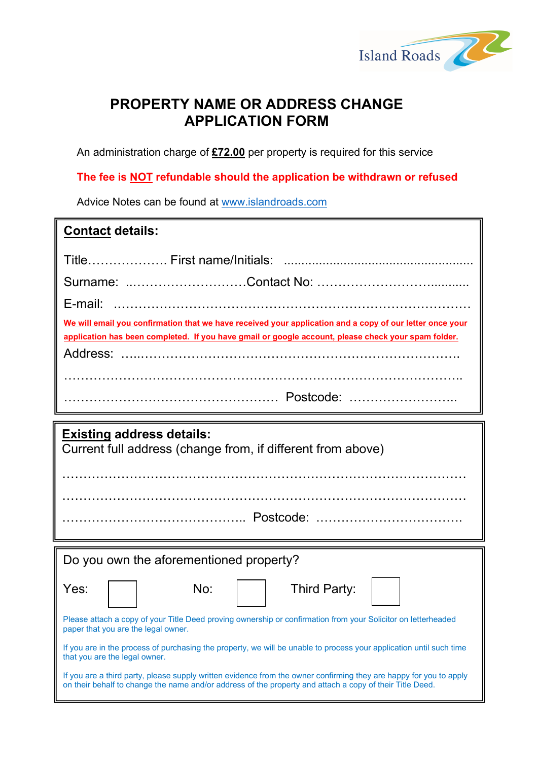

## PROPERTY NAME OR ADDRESS CHANGE APPLICATION FORM

An administration charge of £72.00 per property is required for this service

### The fee is **NOT** refundable should the application be withdrawn or refused

Advice Notes can be found at www.islandroads.com

| <b>Contact details:</b>                                                                                                                                                                                         |
|-----------------------------------------------------------------------------------------------------------------------------------------------------------------------------------------------------------------|
|                                                                                                                                                                                                                 |
|                                                                                                                                                                                                                 |
|                                                                                                                                                                                                                 |
| We will email you confirmation that we have received your application and a copy of our letter once your<br>application has been completed. If you have gmail or google account, please check your spam folder. |
|                                                                                                                                                                                                                 |

| <b>Existing address details:</b><br>Current full address (change from, if different from above)                                                                                                                                |  |  |  |  |  |
|--------------------------------------------------------------------------------------------------------------------------------------------------------------------------------------------------------------------------------|--|--|--|--|--|
|                                                                                                                                                                                                                                |  |  |  |  |  |
| Do you own the aforementioned property?                                                                                                                                                                                        |  |  |  |  |  |
| No:<br>Yes:<br>Third Party:                                                                                                                                                                                                    |  |  |  |  |  |
| Please attach a copy of your Title Deed proving ownership or confirmation from your Solicitor on letterheaded<br>paper that you are the legal owner.                                                                           |  |  |  |  |  |
| If you are in the process of purchasing the property, we will be unable to process your application until such time<br>that you are the legal owner.                                                                           |  |  |  |  |  |
| If you are a third party, please supply written evidence from the owner confirming they are happy for you to apply<br>on their behalf to change the name and/or address of the property and attach a copy of their Title Deed. |  |  |  |  |  |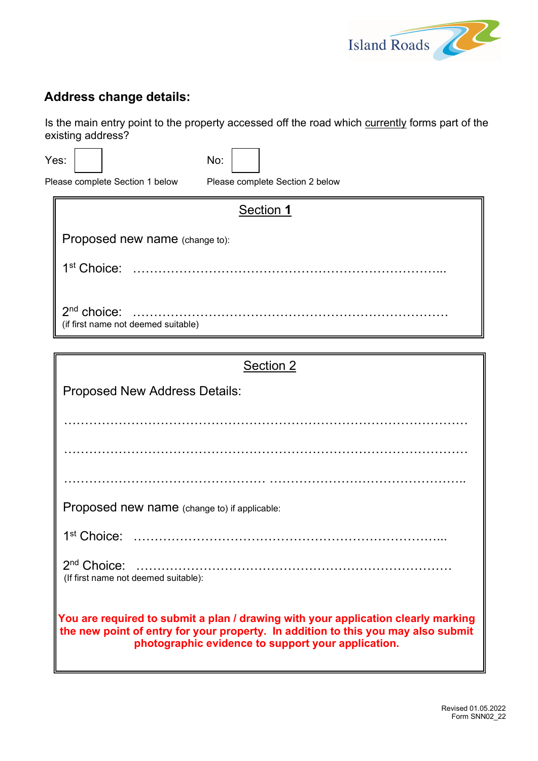

# Address change details:

Is the main entry point to the property accessed off the road which currently forms part of the existing address?

Yes: No:

Please complete Section 1 below Please complete Section 2 below

| Section 1                                            |
|------------------------------------------------------|
| Proposed new name (change to):                       |
|                                                      |
| $2nd$ choice:<br>(if first name not deemed suitable) |

| Section 2                                                                                                                                                                                                                    |  |  |  |
|------------------------------------------------------------------------------------------------------------------------------------------------------------------------------------------------------------------------------|--|--|--|
| <b>Proposed New Address Details:</b>                                                                                                                                                                                         |  |  |  |
|                                                                                                                                                                                                                              |  |  |  |
|                                                                                                                                                                                                                              |  |  |  |
|                                                                                                                                                                                                                              |  |  |  |
|                                                                                                                                                                                                                              |  |  |  |
|                                                                                                                                                                                                                              |  |  |  |
| Proposed new name (change to) if applicable:                                                                                                                                                                                 |  |  |  |
|                                                                                                                                                                                                                              |  |  |  |
| (If first name not deemed suitable):                                                                                                                                                                                         |  |  |  |
| You are required to submit a plan / drawing with your application clearly marking<br>the new point of entry for your property. In addition to this you may also submit<br>photographic evidence to support your application. |  |  |  |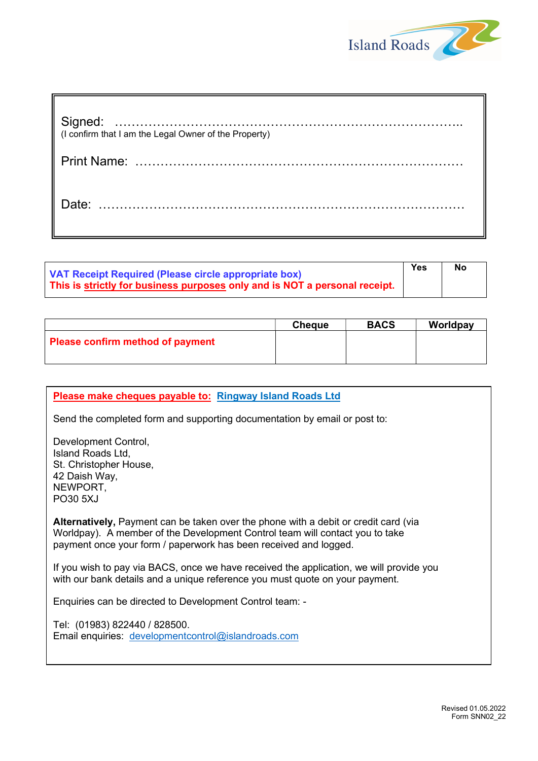

| (I confirm that I am the Legal Owner of the Property) |
|-------------------------------------------------------|
|                                                       |
| Date:                                                 |
|                                                       |

| VAT Receipt Required (Please circle appropriate box)                       | Yes | No |
|----------------------------------------------------------------------------|-----|----|
| This is strictly for business purposes only and is NOT a personal receipt. |     |    |

|                                         | <b>Cheque</b> | <b>BACS</b> | Worldpay |
|-----------------------------------------|---------------|-------------|----------|
| <b>Please confirm method of payment</b> |               |             |          |

#### Please make cheques payable to: Ringway Island Roads Ltd

Send the completed form and supporting documentation by email or post to:

Development Control, Island Roads Ltd, St. Christopher House, 42 Daish Way, NEWPORT, PO30 5XJ

Alternatively, Payment can be taken over the phone with a debit or credit card (via Worldpay). A member of the Development Control team will contact you to take payment once your form / paperwork has been received and logged.

If you wish to pay via BACS, once we have received the application, we will provide you with our bank details and a unique reference you must quote on your payment.

Enquiries can be directed to Development Control team: -

Tel: (01983) 822440 / 828500. Email enquiries: developmentcontrol@islandroads.com